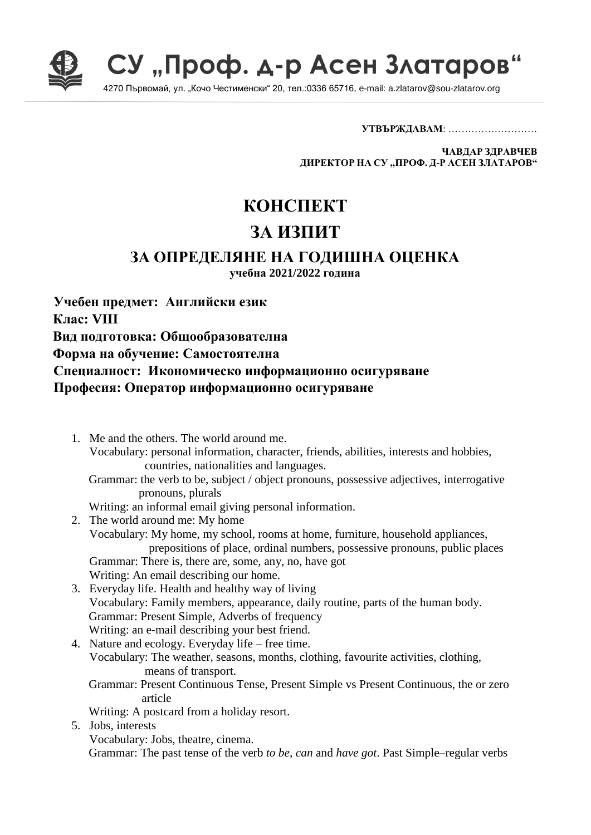

СУ "Проф. д-р Асен Златаров"

4270 Първомай, ул. "Кочо Честименски" 20, тел.:0336 65716, e-mail: a.zlatarov@sou-zlatarov.org

**УТВЪРЖДАВАМ**: ………………………

**ЧАВДАР ЗДРАВЧЕВ ДИРЕКТОР НА СУ "ПРОФ. Д-Р АСЕН ЗЛАТАРОВ"**

## **КОНСПЕКТ ЗА ИЗПИТ**

## **ЗА ОПРЕДЕЛЯНЕ НА ГОДИШНА ОЦЕНКА**

**учебна 2021/2022 година**

**Учебен предмет: Английски език Клас: VIII Вид подготовка: Общообразователна Форма на обучение: Самостоятелна Специалност: Икономическо информационно осигуряване Професия: Оператор информационно осигуряване**

1. Me and the others. The world around me. Vocabulary: personal information, character, friends, abilities, interests and hobbies, countries, nationalities and languages. Grammar: the verb to be, subject / object pronouns, possessive adjectives, interrogative pronouns, plurals Writing: an informal email giving personal information. 2. The world around me: My home Vocabulary: My home, my school, rooms at home, furniture, household appliances, prepositions of place, ordinal numbers, possessive pronouns, public places Grammar: There is, there are, some, any, no, have got Writing: An email describing our home. 3. Everyday life. Health and healthy way of living Vocabulary: Family members, appearance, daily routine, parts of the human body. Grammar: Present Simple, Adverbs of frequency Writing: an e-mail describing your best friend. 4. Nature and ecology. Everyday life – free time. Vocabulary: The weather, seasons, months, clothing, favourite activities, clothing, means of transport. Grammar: Present Continuous Tense, Present Simple vs Present Continuous, the or zero article Writing: A postcard from a holiday resort. 5. Jobs, interests Vocabulary: Jobs, theatre, cinema. Grammar: The past tense of the verb *to be*, *can* and *have got*. Past Simple–regular verbs